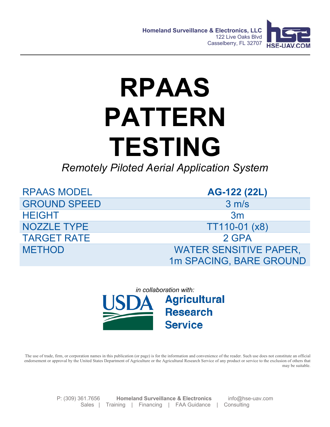

## **RPAAS PATTERN TESTING**

*Remotely Piloted Aerial Application System*

| <b>RPAAS MODEL</b>  | AG-122 (22L)                  |
|---------------------|-------------------------------|
| <b>GROUND SPEED</b> | 3 m/s                         |
| <b>HEIGHT</b>       | 3m                            |
| <b>NOZZLE TYPE</b>  | $TT110-01 (x8)$               |
| <b>TARGET RATE</b>  | 2 GPA                         |
| <b>METHOD</b>       | <b>WATER SENSITIVE PAPER,</b> |
|                     | 1m SPACING, BARE GROUND       |



The use of trade, firm, or corporation names in this publication (or page) is for the information and convenience of the reader. Such use does not constitute an official endorsement or approval by the United States Department of Agriculture or the Agricultural Research Service of any product or service to the exclusion of others that may be suitable.

> P: (309) 361.7656 **Homeland Surveillance & Electronics** info@hse-uav.com Sales | Training | Financing | FAA Guidance | Consulting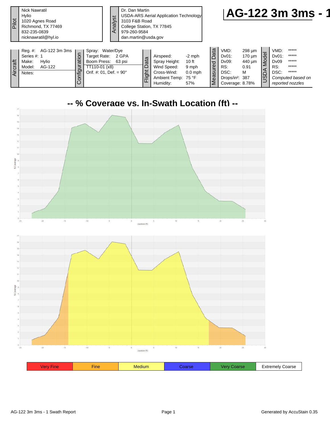| Pilot    | <b>Nick Nawratil</b><br>Hylio<br>1020 Agnes Road<br>Richmond, TX 77469<br>832-235-0839<br>nicknawratil@hyl.io |                       |                                                                                                             | Analyst | Dr. Dan Martin<br>3103 F&B Road<br>College Station, TX 77845<br>979-260-9584<br>dan.martin@usda.gov |                           | USDA-ARS Aerial Application Technology                                                       |                                                |                                         |                                                                                            |                                         |                                                          |                                      | AG-122 3m 3ms -                                                                          |  |
|----------|---------------------------------------------------------------------------------------------------------------|-----------------------|-------------------------------------------------------------------------------------------------------------|---------|-----------------------------------------------------------------------------------------------------|---------------------------|----------------------------------------------------------------------------------------------|------------------------------------------------|-----------------------------------------|--------------------------------------------------------------------------------------------|-----------------------------------------|----------------------------------------------------------|--------------------------------------|------------------------------------------------------------------------------------------|--|
| Aircraft | Reg. #: AG-122 3m 3ms<br>Series #: 1<br>Hylio<br>Make:<br>Model:<br>AG-122<br>Notes:                          | ation<br>onfigur<br>ပ | Spray: Water/Dye<br>Target Rate:<br>Boom Press: 63 psi<br>TT110-01 (x8)<br>Orif. #: 01, Def. = $90^{\circ}$ |         | 2 GPA                                                                                               | ata<br>$\Box$<br>Ħ<br>lā, | Airspeed:<br>Spray Height:<br>Wind Speed:<br>Cross-Wind:<br>Ambient Temp: 75 °F<br>Humidity: | $-2$ mph<br>10 ft<br>9 mph<br>$0.0$ mph<br>57% | ta<br>Da<br>red<br><b>US</b><br>Θã<br>⋝ | VMD:<br>$Dv01$ :<br>Dv09:<br>RS:<br>DSC:<br>Drops/in <sup>2</sup> : 387<br>Coverage: 8.78% | 298 µm<br>170 um<br>440 um<br>0.91<br>M | $\overline{9}$<br>$\overset{\circ}{\leq}$<br><b>NGSD</b> | VMD:<br>Dv01:<br>Dv09<br>RS:<br>DSC: | *****<br>$*****$<br>$*****$<br>*****<br>$*****$<br>Computed based on<br>reported nozzles |  |



| .<br>ine<br><br>-xtremelv<br>- 35<br>$-1$ |  |  |  |       |
|-------------------------------------------|--|--|--|-------|
|                                           |  |  |  | oarse |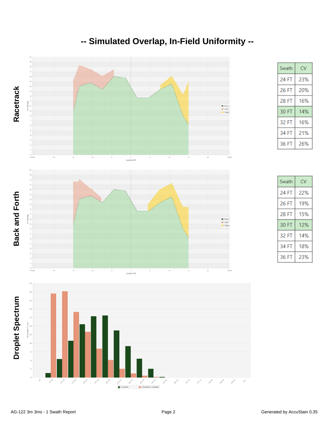

## **-- Simulated Overlap, In-Field Uniformity --**

 $CV$ 

Swath

| Swath | CV  |
|-------|-----|
| 24 FT | 22% |
| 26 FT | 19% |
| 28 FT | 15% |
| 30 FT | 12% |
| 32 FT | 14% |
| 34 FT | 18% |
| 36 FT | 23% |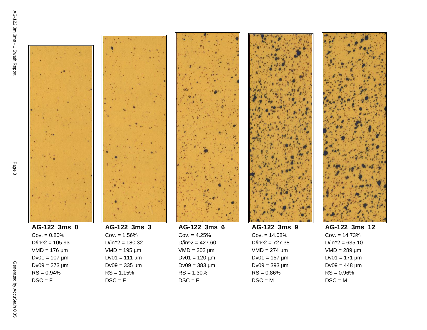$RS = 0.94%$  $DSC = F$ 









 $D/in^2 = 427.60$  $VMD = 202 \mu m$  $Dv01 = 120 \mu m$  $Dv09 = 383 \mu m$  $RS = 1.30%$  $DSC = F$ 

| AG-122 3ms_9       |
|--------------------|
| $Cov = 14.08%$     |
| D/in^2 = $727.38$  |
| $VMD = 274 \mu m$  |
| $Dv01 = 157 \mu m$ |
| Dv09 = 393 µm      |
| RS = 0.86%         |
| $DSC = M$          |
|                    |



**AG-122\_3ms\_12**  $Cov. = 14.73%$  $D/in^2 = 635.10$  $VMD = 289 \mu m$  $Dv01 = 171 \mu m$  $Dv09 = 448 \mu m$  $RS = 0.96%$  $DSC = M$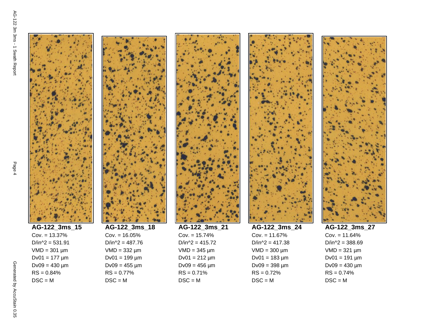











**AG-122\_3ms\_27**  $Cov. = 11.64%$  $D/in^2 = 388.69$  $VMD = 321 \mu m$  $Dv01 = 191 \mu m$  $Dv09 = 430 \mu m$  $RS = 0.74%$  $DSC = M$ 

 $D/in^2 = 531.91$  $VMD = 301 \mu m$  $Dv01 = 177 \mu m$  $Dv09 = 430 \mu m$ 

 $RS = 0.84%$  $DSC = M$ 



 $RS = 0.77%$  $DSC = M$ 



 $VMD = 300 \mu m$  $Dv01 = 183 \mu m$  $Dv09 = 398 \mu m$  $RS = 0.72%$ 

 $DSC = M$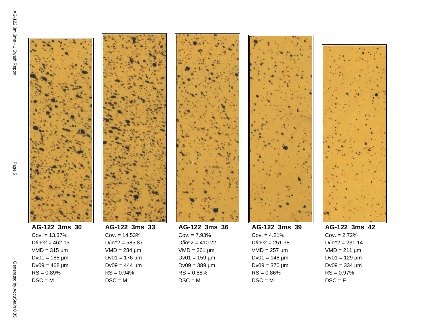

 $D/in^2 = 462.13$  $VMD = 315 \mu m$  $Dv01 = 188 \mu m$  $Dv09 = 468 \mu m$  $RS = 0.89%$  $DSC = M$ 



 $RS = 0.94%$  $DSC = M$ 



 $DSC = M$ 



 $D/in^2 = 251.38$  $VMD = 257 \mu m$  $Dv01 = 148 \mu m$  $Dv09 = 370 \mu m$  $RS = 0.86%$  $DSC = M$ 



**AG-122\_3ms\_42**  $Cov. = 2.72%$  $D/in^2 = 231.14$  $VMD = 211 \mu m$  $Dv01 = 129 \mu m$  $Dv09 = 334 \mu m$  $RS = 0.97%$  $DSC = F$